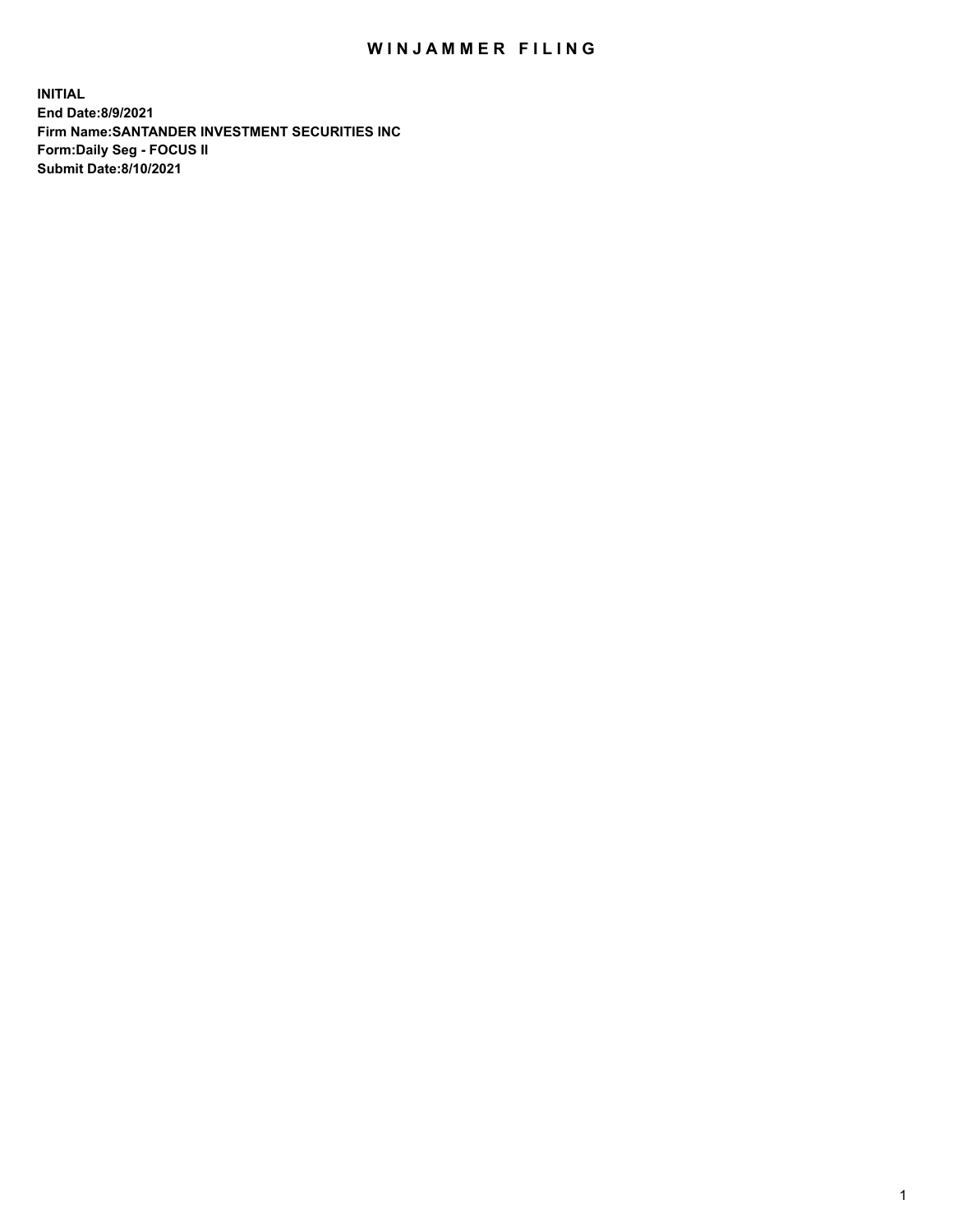## WIN JAMMER FILING

**INITIAL End Date:8/9/2021 Firm Name:SANTANDER INVESTMENT SECURITIES INC Form:Daily Seg - FOCUS II Submit Date:8/10/2021**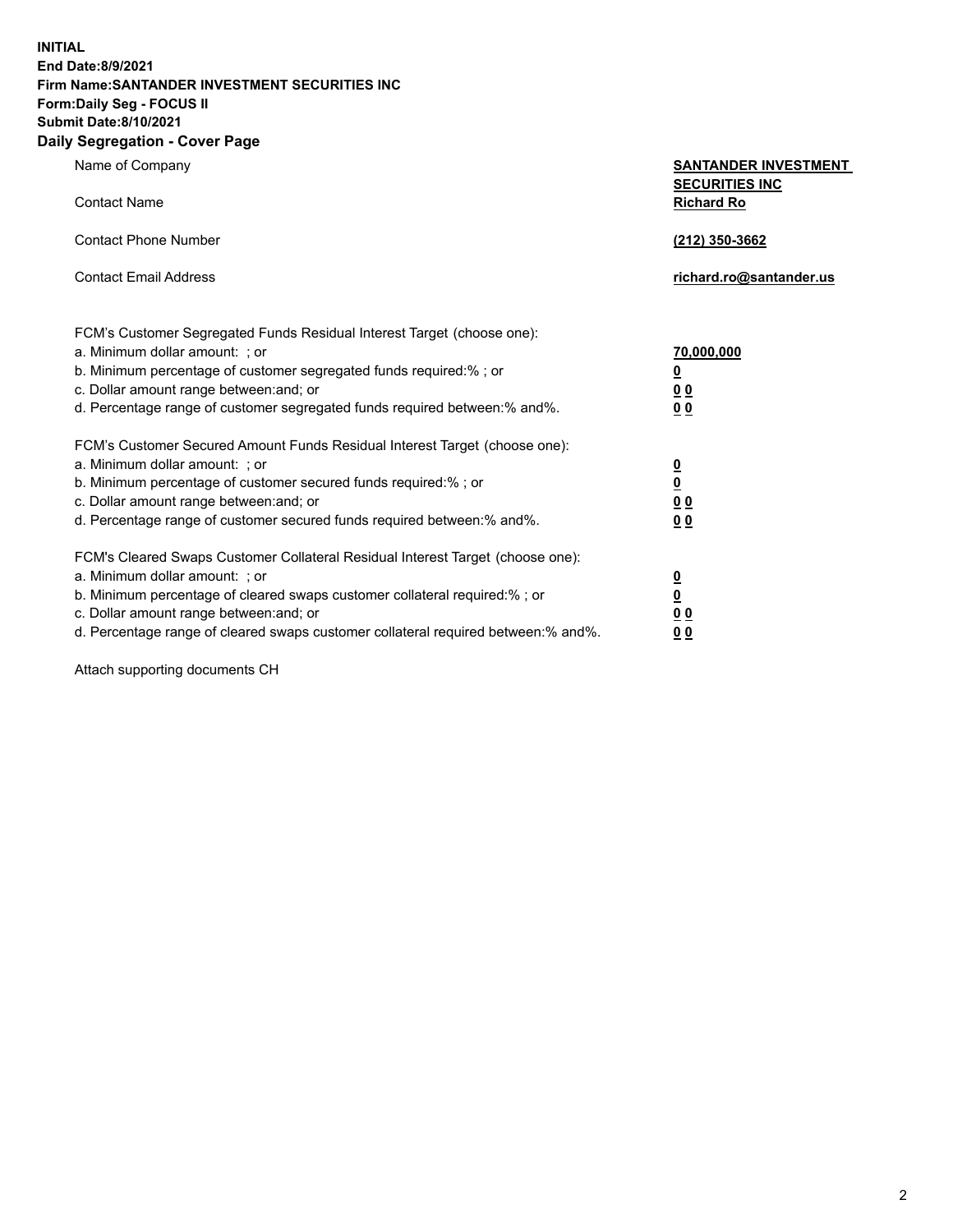**INITIAL End Date:8/9/2021 Firm Name:SANTANDER INVESTMENT SECURITIES INC Form:Daily Seg - FOCUS II Submit Date:8/10/2021 Daily Segregation - Cover Page**

| Name of Company                                                                                                                                                                                                                                                                                                                | <b>SANTANDER INVESTMENT</b>                                    |
|--------------------------------------------------------------------------------------------------------------------------------------------------------------------------------------------------------------------------------------------------------------------------------------------------------------------------------|----------------------------------------------------------------|
| <b>Contact Name</b>                                                                                                                                                                                                                                                                                                            | <b>SECURITIES INC</b><br><b>Richard Ro</b>                     |
| <b>Contact Phone Number</b>                                                                                                                                                                                                                                                                                                    | (212) 350-3662                                                 |
| <b>Contact Email Address</b>                                                                                                                                                                                                                                                                                                   | richard.ro@santander.us                                        |
| FCM's Customer Segregated Funds Residual Interest Target (choose one):<br>a. Minimum dollar amount: ; or<br>b. Minimum percentage of customer segregated funds required:%; or<br>c. Dollar amount range between: and; or<br>d. Percentage range of customer segregated funds required between:% and%.                          | 70,000,000<br><u>0</u><br>0 <sub>0</sub><br>0 <sub>0</sub>     |
| FCM's Customer Secured Amount Funds Residual Interest Target (choose one):<br>a. Minimum dollar amount: ; or<br>b. Minimum percentage of customer secured funds required:%; or<br>c. Dollar amount range between: and; or<br>d. Percentage range of customer secured funds required between:% and%.                            | $\frac{0}{0}$<br>0 <sub>0</sub><br>0 <sub>0</sub>              |
| FCM's Cleared Swaps Customer Collateral Residual Interest Target (choose one):<br>a. Minimum dollar amount: ; or<br>b. Minimum percentage of cleared swaps customer collateral required:% ; or<br>c. Dollar amount range between: and; or<br>d. Percentage range of cleared swaps customer collateral required between:% and%. | $\overline{\mathbf{0}}$<br>$\overline{\mathbf{0}}$<br>00<br>00 |

Attach supporting documents CH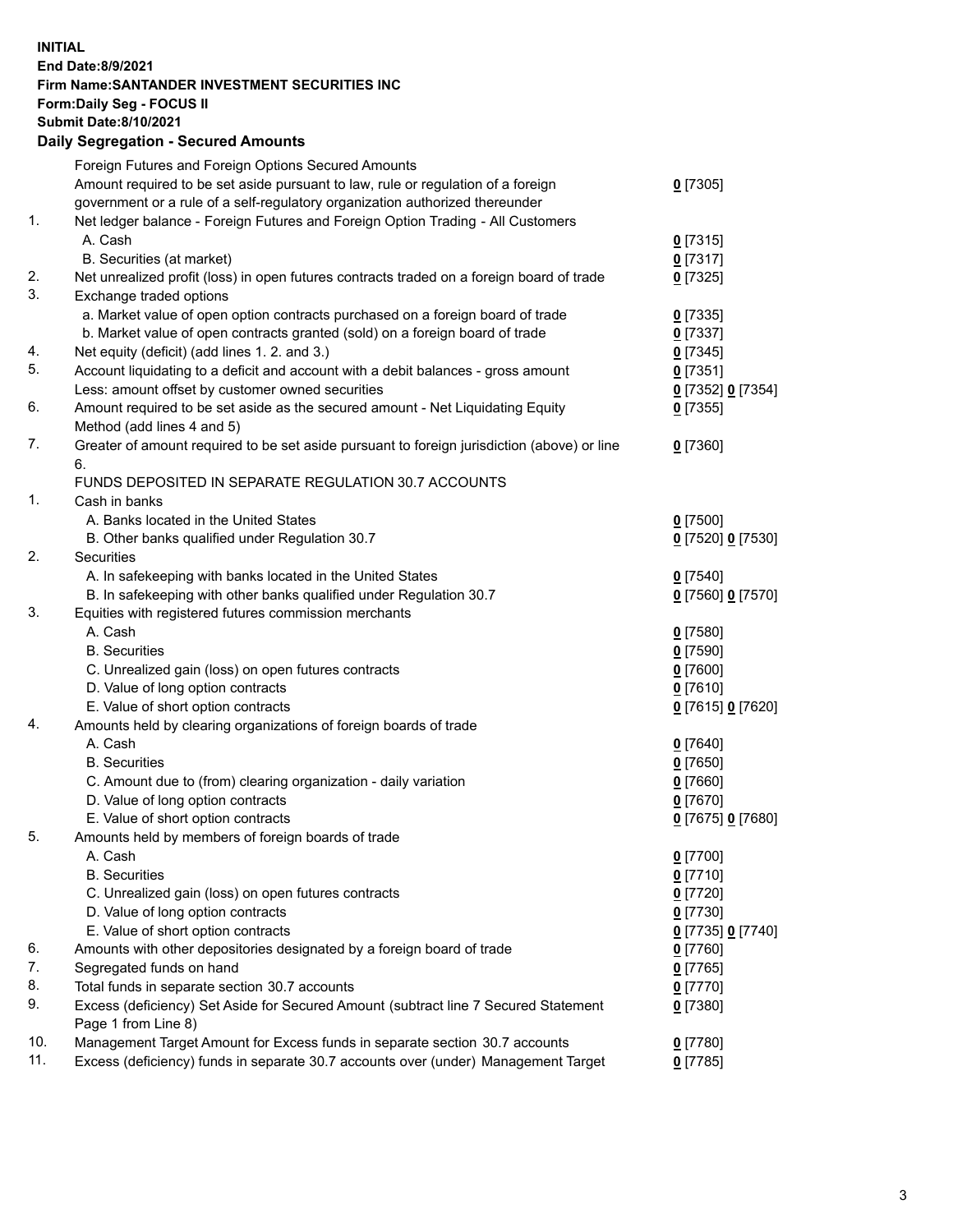## **INITIAL End Date:8/9/2021 Firm Name:SANTANDER INVESTMENT SECURITIES INC Form:Daily Seg - FOCUS II Submit Date:8/10/2021 Daily Segregation - Secured Amounts**

|     | Foreign Futures and Foreign Options Secured Amounts                                         |                   |
|-----|---------------------------------------------------------------------------------------------|-------------------|
|     | Amount required to be set aside pursuant to law, rule or regulation of a foreign            | $0$ [7305]        |
|     | government or a rule of a self-regulatory organization authorized thereunder                |                   |
| 1.  | Net ledger balance - Foreign Futures and Foreign Option Trading - All Customers             |                   |
|     | A. Cash                                                                                     | $0$ [7315]        |
|     | B. Securities (at market)                                                                   | $0$ [7317]        |
| 2.  | Net unrealized profit (loss) in open futures contracts traded on a foreign board of trade   | $0$ [7325]        |
| 3.  | Exchange traded options                                                                     |                   |
|     | a. Market value of open option contracts purchased on a foreign board of trade              | $0$ [7335]        |
|     | b. Market value of open contracts granted (sold) on a foreign board of trade                | $0$ [7337]        |
| 4.  | Net equity (deficit) (add lines 1. 2. and 3.)                                               | $0$ [7345]        |
| 5.  | Account liquidating to a deficit and account with a debit balances - gross amount           | $0$ [7351]        |
|     | Less: amount offset by customer owned securities                                            | 0 [7352] 0 [7354] |
| 6.  | Amount required to be set aside as the secured amount - Net Liquidating Equity              | $0$ [7355]        |
|     | Method (add lines 4 and 5)                                                                  |                   |
| 7.  | Greater of amount required to be set aside pursuant to foreign jurisdiction (above) or line | $0$ [7360]        |
|     | 6.                                                                                          |                   |
|     | FUNDS DEPOSITED IN SEPARATE REGULATION 30.7 ACCOUNTS                                        |                   |
| 1.  | Cash in banks                                                                               |                   |
|     | A. Banks located in the United States                                                       | $0$ [7500]        |
|     | B. Other banks qualified under Regulation 30.7                                              | 0 [7520] 0 [7530] |
| 2.  | Securities                                                                                  |                   |
|     | A. In safekeeping with banks located in the United States                                   | $0$ [7540]        |
|     | B. In safekeeping with other banks qualified under Regulation 30.7                          | 0 [7560] 0 [7570] |
| 3.  | Equities with registered futures commission merchants                                       |                   |
|     | A. Cash                                                                                     | $0$ [7580]        |
|     | <b>B.</b> Securities                                                                        | $0$ [7590]        |
|     | C. Unrealized gain (loss) on open futures contracts                                         | $0$ [7600]        |
|     | D. Value of long option contracts                                                           | $0$ [7610]        |
|     | E. Value of short option contracts                                                          | 0 [7615] 0 [7620] |
| 4.  | Amounts held by clearing organizations of foreign boards of trade                           |                   |
|     | A. Cash                                                                                     | $0$ [7640]        |
|     | <b>B.</b> Securities                                                                        | $0$ [7650]        |
|     | C. Amount due to (from) clearing organization - daily variation                             | $0$ [7660]        |
|     | D. Value of long option contracts                                                           | $0$ [7670]        |
|     | E. Value of short option contracts                                                          | 0 [7675] 0 [7680] |
| 5.  | Amounts held by members of foreign boards of trade                                          |                   |
|     | A. Cash                                                                                     | $0$ [7700]        |
|     | <b>B.</b> Securities                                                                        | $0$ [7710]        |
|     | C. Unrealized gain (loss) on open futures contracts                                         | $0$ [7720]        |
|     | D. Value of long option contracts                                                           | $0$ [7730]        |
|     | E. Value of short option contracts                                                          | 0 [7735] 0 [7740] |
| 6.  | Amounts with other depositories designated by a foreign board of trade                      | $0$ [7760]        |
| 7.  | Segregated funds on hand                                                                    | $0$ [7765]        |
| 8.  | Total funds in separate section 30.7 accounts                                               | $0$ [7770]        |
| 9.  | Excess (deficiency) Set Aside for Secured Amount (subtract line 7 Secured Statement         | $0$ [7380]        |
|     | Page 1 from Line 8)                                                                         |                   |
| 10. | Management Target Amount for Excess funds in separate section 30.7 accounts                 | 0 [7780]          |
| 11. | Excess (deficiency) funds in separate 30.7 accounts over (under) Management Target          | $0$ [7785]        |
|     |                                                                                             |                   |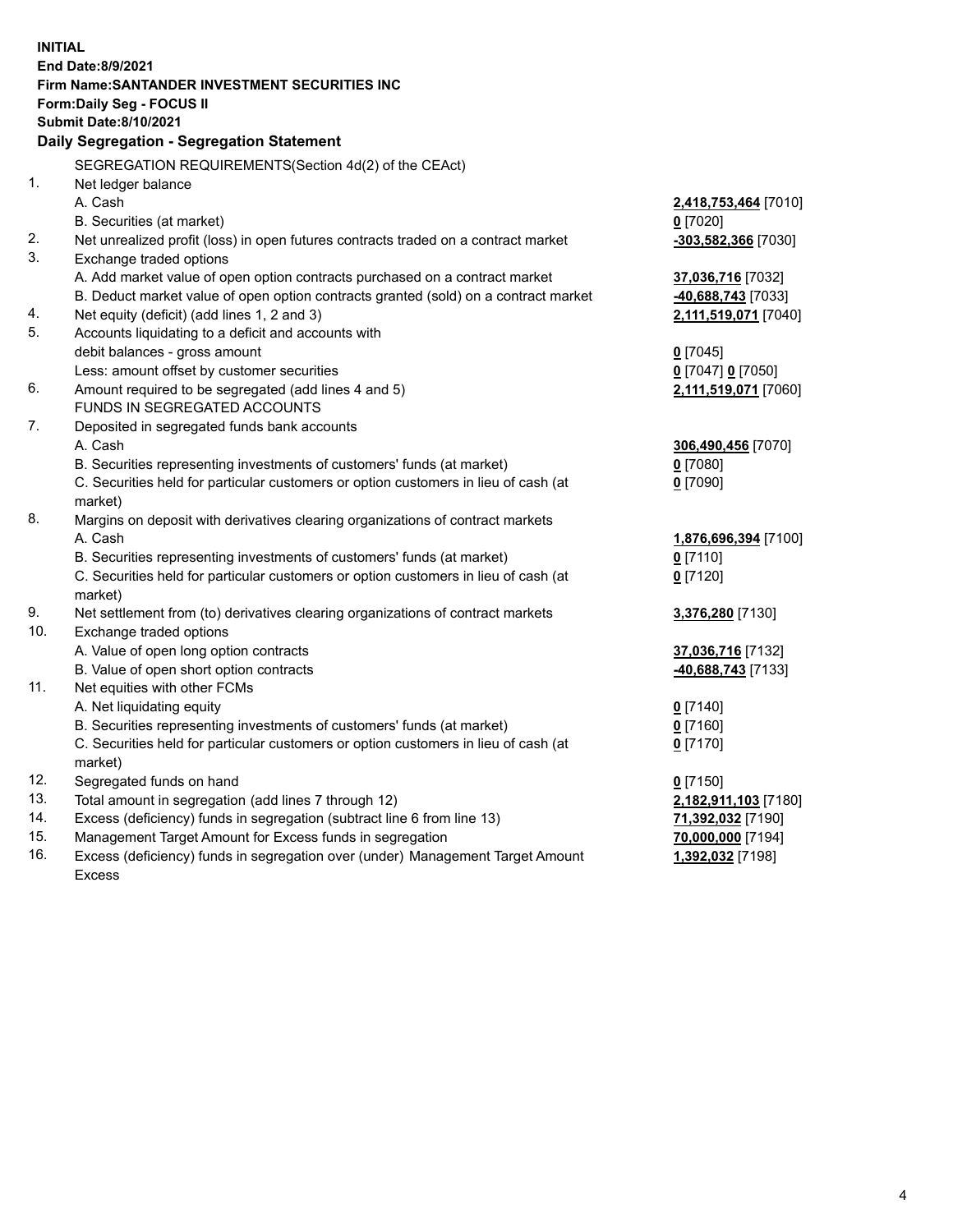| <b>INITIAL</b> | End Date:8/9/2021<br>Firm Name: SANTANDER INVESTMENT SECURITIES INC<br>Form: Daily Seg - FOCUS II<br><b>Submit Date:8/10/2021</b><br>Daily Segregation - Segregation Statement |                          |
|----------------|--------------------------------------------------------------------------------------------------------------------------------------------------------------------------------|--------------------------|
|                | SEGREGATION REQUIREMENTS(Section 4d(2) of the CEAct)                                                                                                                           |                          |
| 1.             | Net ledger balance                                                                                                                                                             |                          |
|                | A. Cash                                                                                                                                                                        | 2,418,753,464 [7010]     |
|                | B. Securities (at market)                                                                                                                                                      | $0$ [7020]               |
| 2.             | Net unrealized profit (loss) in open futures contracts traded on a contract market                                                                                             | -303,582,366 [7030]      |
| 3.             | Exchange traded options                                                                                                                                                        |                          |
|                | A. Add market value of open option contracts purchased on a contract market                                                                                                    | 37,036,716 [7032]        |
|                | B. Deduct market value of open option contracts granted (sold) on a contract market                                                                                            | 40,688,743 [7033]        |
| 4.             | Net equity (deficit) (add lines 1, 2 and 3)                                                                                                                                    | 2,111,519,071 [7040]     |
| 5.             | Accounts liquidating to a deficit and accounts with                                                                                                                            |                          |
|                | debit balances - gross amount                                                                                                                                                  | $0$ [7045]               |
|                | Less: amount offset by customer securities                                                                                                                                     | 0 [7047] 0 [7050]        |
| 6.             | Amount required to be segregated (add lines 4 and 5)<br>FUNDS IN SEGREGATED ACCOUNTS                                                                                           | 2,111,519,071 [7060]     |
| 7.             |                                                                                                                                                                                |                          |
|                | Deposited in segregated funds bank accounts<br>A. Cash                                                                                                                         |                          |
|                |                                                                                                                                                                                | 306,490,456 [7070]       |
|                | B. Securities representing investments of customers' funds (at market)<br>C. Securities held for particular customers or option customers in lieu of cash (at                  | $0$ [7080]<br>$0$ [7090] |
|                | market)                                                                                                                                                                        |                          |
| 8.             | Margins on deposit with derivatives clearing organizations of contract markets                                                                                                 |                          |
|                | A. Cash                                                                                                                                                                        | 1,876,696,394 [7100]     |
|                | B. Securities representing investments of customers' funds (at market)                                                                                                         | $0$ [7110]               |
|                | C. Securities held for particular customers or option customers in lieu of cash (at                                                                                            | $0$ [7120]               |
|                | market)                                                                                                                                                                        |                          |
| 9.             | Net settlement from (to) derivatives clearing organizations of contract markets                                                                                                | 3,376,280 [7130]         |
| 10.            | Exchange traded options                                                                                                                                                        |                          |
|                | A. Value of open long option contracts                                                                                                                                         | 37,036,716 [7132]        |
|                | B. Value of open short option contracts                                                                                                                                        | -40,688,743 [7133]       |
| 11.            | Net equities with other FCMs                                                                                                                                                   |                          |
|                | A. Net liquidating equity                                                                                                                                                      | $0$ [7140]               |
|                | B. Securities representing investments of customers' funds (at market)                                                                                                         | $0$ [7160]               |
|                | C. Securities held for particular customers or option customers in lieu of cash (at                                                                                            | $0$ [7170]               |
|                | market)                                                                                                                                                                        |                          |
| 12.            | Segregated funds on hand                                                                                                                                                       | $0$ [7150]               |
| 13.            | Total amount in segregation (add lines 7 through 12)                                                                                                                           | 2,182,911,103 [7180]     |
| 14.            | Excess (deficiency) funds in segregation (subtract line 6 from line 13)                                                                                                        | 71,392,032 [7190]        |
| 15.            | Management Target Amount for Excess funds in segregation                                                                                                                       | 70,000,000 [7194]        |
| 16.            | Excess (deficiency) funds in segregation over (under) Management Target Amount                                                                                                 | <u>1,392,032</u> [7198]  |
|                | <b>Excess</b>                                                                                                                                                                  |                          |